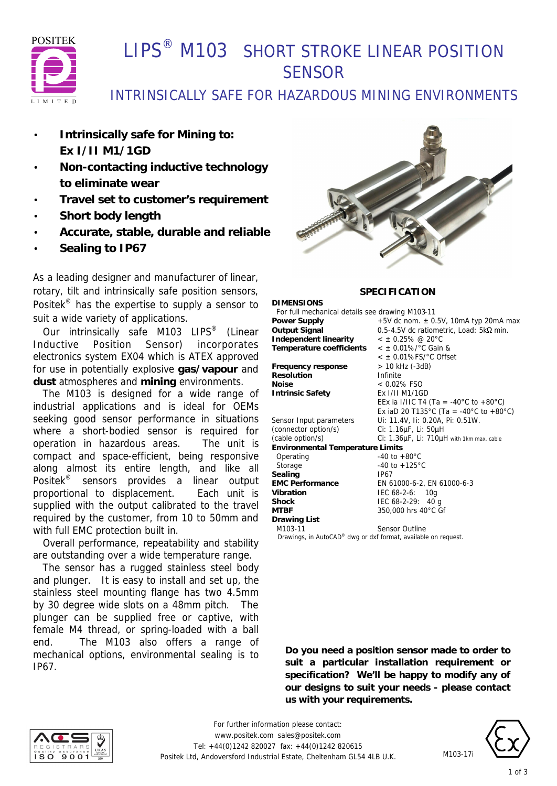

# **I IPS<sup>®</sup> M103 SHORT STROKE LINEAR POSITION SENSOR**

## INTRINSICALLY SAFE FOR HAZARDOUS MINING ENVIRONMENTS

- **Intrinsically safe for Mining to: Ex I/II M1/1GD**
- **Non-contacting inductive technology to eliminate wear**
- **Travel set to customer's requirement**
- **Short body length**
- **Accurate, stable, durable and reliable**
- **Sealing to IP67**

As a leading designer and manufacturer of linear, rotary, tilt and intrinsically safe position sensors, Positek® has the expertise to supply a sensor to suit a wide variety of applications.

 Our intrinsically safe M103 LIPS® (Linear Inductive Position Sensor) incorporates electronics system EX04 which is ATEX approved for use in potentially explosive **gas/vapour** and **dust** atmospheres and **mining** environments.

 The M103 is designed for a wide range of industrial applications and is ideal for OEMs seeking good sensor performance in situations where a short-bodied sensor is required for operation in hazardous areas. The unit is compact and space-efficient, being responsive along almost its entire length, and like all Positek® sensors provides a linear output proportional to displacement. Each unit is supplied with the output calibrated to the travel required by the customer, from 10 to 50mm and with full EMC protection built in.

 Overall performance, repeatability and stability are outstanding over a wide temperature range.

 The sensor has a rugged stainless steel body and plunger. It is easy to install and set up, the stainless steel mounting flange has two 4.5mm by 30 degree wide slots on a 48mm pitch. The plunger can be supplied free or captive, with female M4 thread, or spring-loaded with a ball end. The M103 also offers a range of mechanical options, environmental sealing is to IP67.



### **SPECIFICATION**

**DIMENSIONS** For full mechanical details see drawing M103-11<br>Power Supply  $+5V$  dc nom.  $\pm 0$ . **Power Supply**  $+5V$  dc nom.  $\pm$  0.5V, 10mA typ 20mA max<br> **Output Signal** 0.5-4.5V dc ratiometric, Load: 5kΩ min. **Output Signal** 0.5-4.5V dc ratiometric, Load: 5kΩ min. **Independent linearity** < ± 0.25% @ 20°C **Temperature coefficients** < ± 0.01%/°C Gain & < ± 0.01%FS/°C Offset **Frequency response** > 10 kHz (-3dB) **Resolution** Infinite **Noise** < 0.02% FSO **Intrinsic Safety** Ex I/II M1/1GD EEx ia I/IIC T4 (Ta = -40°C to +80°C) Ex iaD 20 T135°C (Ta = -40°C to +80°C) Sensor Input parameters Ui: 11.4V, Ii: 0.20A, Pi: 0.51W. (connector option/s) Ci: 1.16µF, Li: 50µH (cable option/s) Ci: 1.36µF, Li: 710µH with 1km max. cable **Environmental Temperature Limits** Operating  $-40$  to  $+80^{\circ}$ C Storage -40 to +125 °C Sealing **IP67 EMC Performance** EN 61000-6-2, EN 61000-6-3 **Vibration** IEC 68-2-6: 10g **Shock** IEC 68-2-29: 40 g **MTBF** 350,000 hrs 40°C Gf **Drawing List** M103-11 Sensor Outline  *Drawings, in AutoCAD® dwg or dxf format, available on request.*

**Do you need a position sensor made to order to suit a particular installation requirement or specification? We'll be happy to modify any of our designs to suit your needs - please contact us with your requirements.**



*For further information please contact:* www.positek.com sales@positek.com Tel: +44(0)1242 820027 fax: +44(0)1242 820615 Positek Ltd, Andoversford Industrial Estate, Cheltenham GL54 4LB U.K.



M103-17i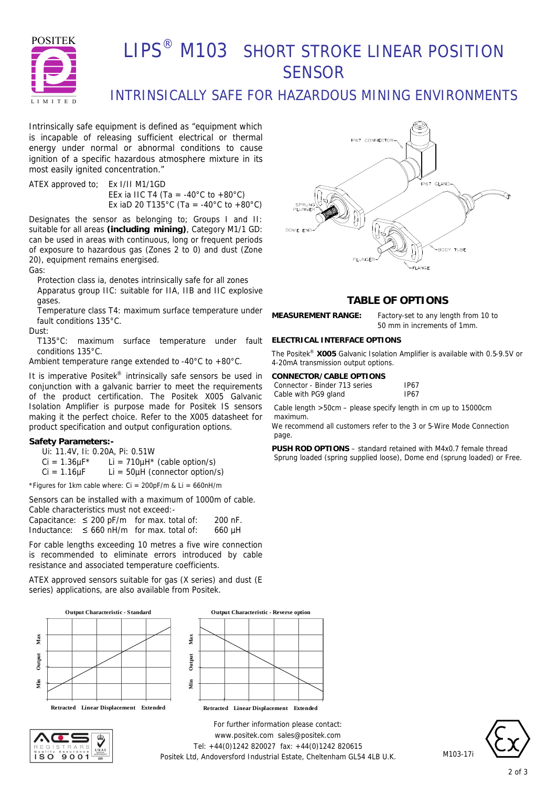

# LIPS<sup>®</sup> M103 SHORT STROKE LINEAR POSITION **SENSOR**

## INTRINSICALLY SAFE FOR HAZARDOUS MINING ENVIRONMENTS

Intrinsically safe equipment is defined as *"equipment which is incapable of releasing sufficient electrical or thermal energy under normal or abnormal conditions to cause ignition of a specific hazardous atmosphere mixture in its most easily ignited concentration."*

ATEX approved to; Ex I/II M1/1GD EEx ia IIC T4 (Ta = -40°C to +80°C) Ex iaD 20 T135°C (Ta = -40°C to +80°C)

Designates the sensor as belonging to; Groups I and II: suitable for all areas **(including mining)**, Category M1/1 GD: can be used in areas with continuous, long or frequent periods of exposure to hazardous gas (Zones 2 to 0) and dust (Zone 20), equipment remains energised.

Gas:

Protection class ia, denotes intrinsically safe for all zones Apparatus group IIC: suitable for IIA, IIB and IIC explosive gases.

Temperature class T4: maximum surface temperature under fault conditions 135°C.

Dust:

T135°C: maximum surface temperature under fault conditions 135°C.

Ambient temperature range extended to -40°C to +80°C.

It is imperative Positek<sup>®</sup> intrinsically safe sensors be used in conjunction with a galvanic barrier to meet the requirements of the product certification. The Positek X005 Galvanic Isolation Amplifier is purpose made for Positek IS sensors making it the perfect choice. Refer to the X005 datasheet for product specification and output configuration options.

#### **Safety Parameters:-**

Ui: 11.4V, Ii: 0.20A, Pi: 0.51W

 $Ci = 1.36 \mu F^*$  Li = 710 $\mu$ H<sup>\*</sup> (cable option/s)

 $Ci = 1.16 \mu F$  Li = 50 $\mu$ H (connector option/s)

\*Figures for 1km cable where:  $Ci = 200pF/m$  &  $Li = 660nH/m$ 

Sensors can be installed with a maximum of 1000m of cable. Cable characteristics must not exceed:-

Capacitance:  $\leq 200$  pF/m for max. total of: 200 nF. Inductance:  $\leq 660$  nH/m for max. total of: 660 µH

For cable lengths exceeding 10 metres a five wire connection is recommended to eliminate errors introduced by cable resistance and associated temperature coefficients.

ATEX approved sensors suitable for gas (X series) and dust (E series) applications, are also available from Positek.







**IP67 CONNECTOR** .<br>IP67 GLAND DOME EN -BODY TUBE **FLANGE** 

### **TABLE OF OPTIONS**

**MEASUREMENT RANGE:** Factory-set to any length from 10 to

50 mm in increments of 1mm.

#### **ELECTRICAL INTERFACE OPTIONS**

The Positek® **X005** Galvanic Isolation Amplifier is available with 0.5-9.5V or 4-20mA transmission output options.

| CONNECTOR/CABLE OPTIONS       |             |
|-------------------------------|-------------|
| Connector - Binder 713 series | <b>IP67</b> |
| Cable with PG9 gland          | <b>IP67</b> |

Cable length >50cm – please specify length in cm up to 15000cm maximum.

We recommend all customers refer to the 3 or 5-Wire Mode Connection page.

**PUSH ROD OPTIONS** – standard retained with M4x0.7 female thread Sprung loaded (spring supplied loose), Dome end (sprung loaded) or Free.

*For further information please contact:* www.positek.com sales@positek.com Tel: +44(0)1242 820027 fax: +44(0)1242 820615 Positek Ltd, Andoversford Industrial Estate, Cheltenham GL54 4LB U.K.



M103-17i